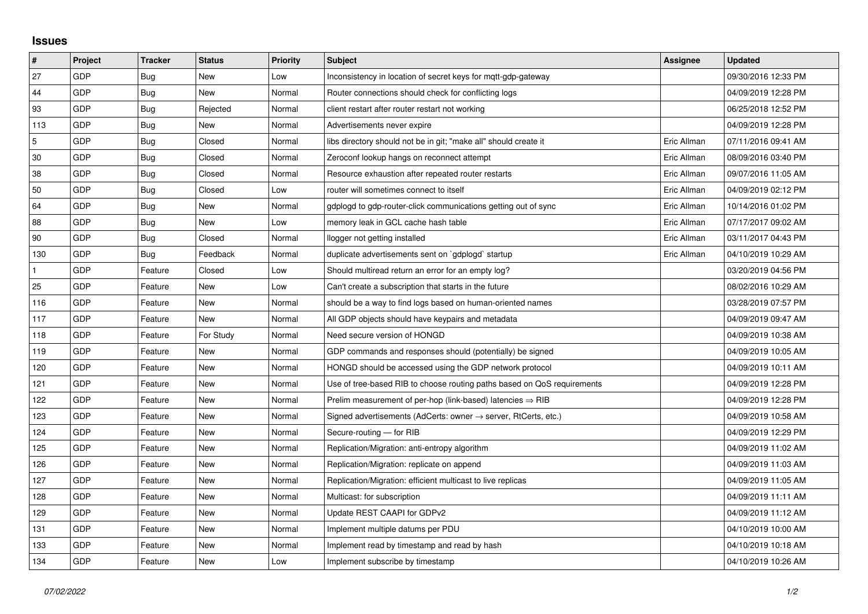## **Issues**

| #   | Project | <b>Tracker</b> | <b>Status</b> | <b>Priority</b> | <b>Subject</b>                                                             | Assignee    | Updated             |
|-----|---------|----------------|---------------|-----------------|----------------------------------------------------------------------------|-------------|---------------------|
| 27  | GDP     | Bug            | <b>New</b>    | Low             | Inconsistency in location of secret keys for mqtt-gdp-gateway              |             | 09/30/2016 12:33 PM |
| 44  | GDP     | Bug            | New           | Normal          | Router connections should check for conflicting logs                       |             | 04/09/2019 12:28 PM |
| 93  | GDP     | Bug            | Rejected      | Normal          | client restart after router restart not working                            |             | 06/25/2018 12:52 PM |
| 113 | GDP     | Bug            | <b>New</b>    | Normal          | Advertisements never expire                                                |             | 04/09/2019 12:28 PM |
| 5   | GDP     | <b>Bug</b>     | Closed        | Normal          | libs directory should not be in git; "make all" should create it           | Eric Allman | 07/11/2016 09:41 AM |
| 30  | GDP     | Bug            | Closed        | Normal          | Zeroconf lookup hangs on reconnect attempt                                 | Eric Allman | 08/09/2016 03:40 PM |
| 38  | GDP     | Bug            | Closed        | Normal          | Resource exhaustion after repeated router restarts                         | Eric Allman | 09/07/2016 11:05 AM |
| 50  | GDP     | Bug            | Closed        | Low             | router will sometimes connect to itself                                    | Eric Allman | 04/09/2019 02:12 PM |
| 64  | GDP     | Bug            | New           | Normal          | gdplogd to gdp-router-click communications getting out of sync             | Eric Allman | 10/14/2016 01:02 PM |
| 88  | GDP     | <b>Bug</b>     | New           | Low             | memory leak in GCL cache hash table                                        | Eric Allman | 07/17/2017 09:02 AM |
| 90  | GDP     | Bug            | Closed        | Normal          | llogger not getting installed                                              | Eric Allman | 03/11/2017 04:43 PM |
| 130 | GDP     | Bug            | Feedback      | Normal          | duplicate advertisements sent on `gdplogd` startup                         | Eric Allman | 04/10/2019 10:29 AM |
|     | GDP     | Feature        | Closed        | Low             | Should multiread return an error for an empty log?                         |             | 03/20/2019 04:56 PM |
| 25  | GDP     | Feature        | New           | Low             | Can't create a subscription that starts in the future                      |             | 08/02/2016 10:29 AM |
| 116 | GDP     | Feature        | New           | Normal          | should be a way to find logs based on human-oriented names                 |             | 03/28/2019 07:57 PM |
| 117 | GDP     | Feature        | <b>New</b>    | Normal          | All GDP objects should have keypairs and metadata                          |             | 04/09/2019 09:47 AM |
| 118 | GDP     | Feature        | For Study     | Normal          | Need secure version of HONGD                                               |             | 04/09/2019 10:38 AM |
| 119 | GDP     | Feature        | New           | Normal          | GDP commands and responses should (potentially) be signed                  |             | 04/09/2019 10:05 AM |
| 120 | GDP     | Feature        | New           | Normal          | HONGD should be accessed using the GDP network protocol                    |             | 04/09/2019 10:11 AM |
| 121 | GDP     | Feature        | New           | Normal          | Use of tree-based RIB to choose routing paths based on QoS requirements    |             | 04/09/2019 12:28 PM |
| 122 | GDP     | Feature        | New           | Normal          | Prelim measurement of per-hop (link-based) latencies $\Rightarrow$ RIB     |             | 04/09/2019 12:28 PM |
| 123 | GDP     | Feature        | <b>New</b>    | Normal          | Signed advertisements (AdCerts: owner $\rightarrow$ server, RtCerts, etc.) |             | 04/09/2019 10:58 AM |
| 124 | GDP     | Feature        | New           | Normal          | Secure-routing - for RIB                                                   |             | 04/09/2019 12:29 PM |
| 125 | GDP     | Feature        | New           | Normal          | Replication/Migration: anti-entropy algorithm                              |             | 04/09/2019 11:02 AM |
| 126 | GDP     | Feature        | <b>New</b>    | Normal          | Replication/Migration: replicate on append                                 |             | 04/09/2019 11:03 AM |
| 127 | GDP     | Feature        | New           | Normal          | Replication/Migration: efficient multicast to live replicas                |             | 04/09/2019 11:05 AM |
| 128 | GDP     | Feature        | New           | Normal          | Multicast: for subscription                                                |             | 04/09/2019 11:11 AM |
| 129 | GDP     | Feature        | New           | Normal          | Update REST CAAPI for GDPv2                                                |             | 04/09/2019 11:12 AM |
| 131 | GDP     | Feature        | New           | Normal          | Implement multiple datums per PDU                                          |             | 04/10/2019 10:00 AM |
| 133 | GDP     | Feature        | New           | Normal          | Implement read by timestamp and read by hash                               |             | 04/10/2019 10:18 AM |
| 134 | GDP     | Feature        | <b>New</b>    | Low             | Implement subscribe by timestamp                                           |             | 04/10/2019 10:26 AM |